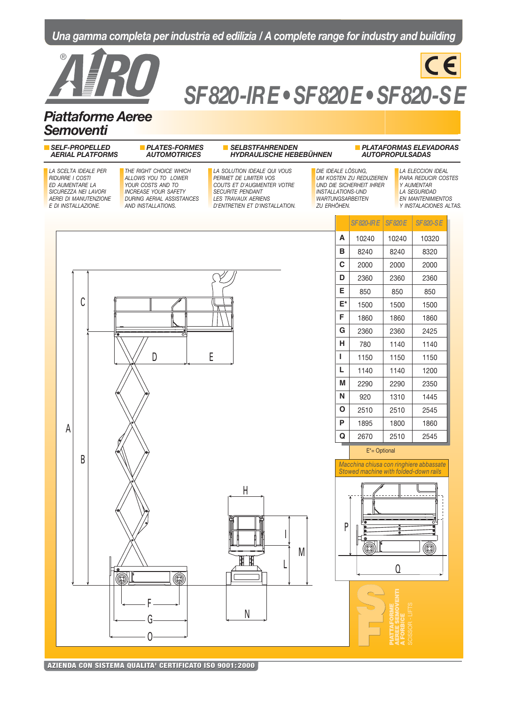## **Una gamma completa per industria ed edilizia / A complete range for industry and building**



# **SF 820 - IR E • SF 820 E • SF 820-S E**

 $C \in$ 

## **Piattaforme Aeree Semoventi**